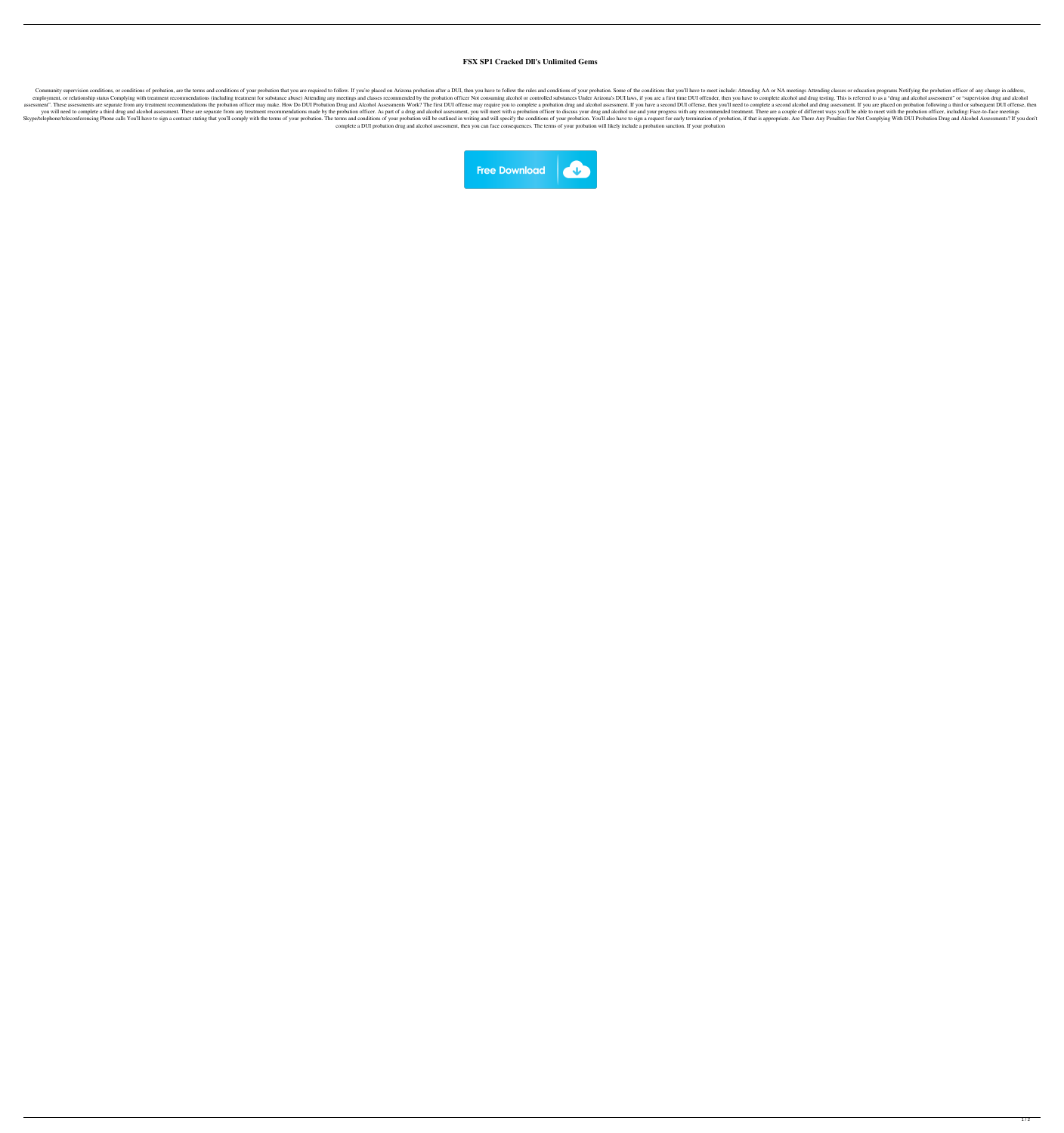## **FSX SP1 Cracked Dll's Unlimited Gems**

Community supervision conditions, or conditions of probation, are the terms and conditions of your probation that you are required to follow. If you're placed on Arizona probation after a DUI, then you have to follow the r employment, or relationship status Complying with treatment recommendations (including treatment for substance abuse) Attending any meetings and classes recommended by the probation officer Not consuming alcohol or control assessment". These assessments are separate from any treatment recommendations the probation officer may make. How Do DUI Probation Drug and Alcohol Assessments Work? The first DUI offense may require you to complete a pro you will need to complete a third drug and alcohol assessment. These are separate from any treatment recommendations made by the probation officer. As part of a drug and alcohol assessment, you will meet with a probation o Skype/telephone/teleconferencing Phone calls You'll have to sign a contract stating that you'll comply with the terms of your probation. The terms and conditions of your probation will be outlined in writing and will speci complete a DUI probation drug and alcohol assessment, then you can face consequences. The terms of your probation will likely include a probation sanction. If your probation